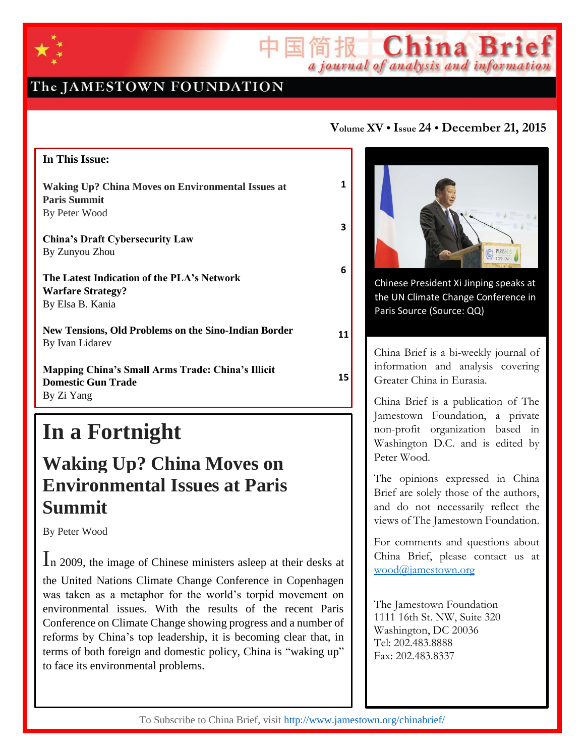

## The JAMESTOWN FOUNDATION

### **In This Issue:**

**Waking Up? China Moves on Environmental Issues at Paris Summit**  By Peter Wood

**China's Draft Cybersecurity Law** By Zunyou Zhou

**The Latest Indication of the PLA's Network Warfare Strategy?** By Elsa B. Kania

**New Tensions, Old Problems on the Sino-Indian Border** By Ivan Lidarev

**Mapping China's Small Arms Trade: China's Illicit Domestic Gun Trade** By Zi Yang

# **In a Fortnight**

## **Waking Up? China Moves on Environmental Issues at Paris Summit**

By Peter Wood

In 2009, the image of Chinese ministers asleep at their desks at the United Nations Climate Change Conference in Copenhagen was taken as a metaphor for the world's torpid movement on environmental issues. With the results of the recent Paris Conference on Climate Change showing progress and a number of reforms by China's top leadership, it is becoming clear that, in terms of both foreign and domestic policy, China is "waking up" to face its environmental problems.

### **Volume XV • Issue 24 • December 21, 2015**

 $\mathbb{E}$   $\left\| \widehat{\mathbb{H}} \right\|$   $\mathbb{E}$   $\left\| \widehat{\mathbb{C}} \right\|$   $\mathbb{E}$   $\mathbb{E}$   $\mathbb{E}$   $\mathbb{E}$   $\mathbb{E}$   $\mathbb{E}$   $\mathbb{E}$   $\mathbb{E}$   $\mathbb{E}$   $\mathbb{E}$   $\mathbb{E}$   $\mathbb{E}$   $\mathbb{E}$   $\mathbb{E}$   $\mathbb{E}$   $\mathbb{E}$   $\mathbb{E}$   $\mathbb{E}$ 

**1**

**3**

**6**

**11**

**15**



Chinese President Xi Jinping speaks at the UN Climate Change Conference in Paris Source (Source: QQ)

China Brief is a bi-weekly journal of information and analysis covering Greater China in Eurasia.

China Brief is a publication of The Jamestown Foundation, a private non-profit organization based in Washington D.C. and is edited by Peter Wood.

The opinions expressed in China Brief are solely those of the authors, and do not necessarily reflect the views of The Jamestown Foundation.

For comments and questions about China Brief, please contact us at [wood@jamestown.org](file:///C:/Users/Peter%20Wood/Desktop/wood@jamestown.org)

The Jamestown Foundation 1111 16th St. NW, Suite 320 Washington, DC 20036 Tel: 202.483.8888 Fax: 202.483.8337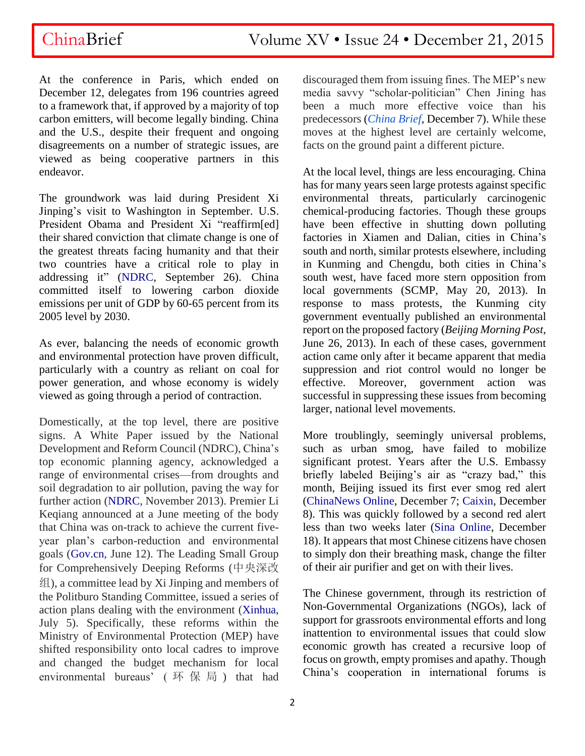At the conference in Paris, which ended on December 12, delegates from 196 countries agreed to a framework that, if approved by a majority of top carbon emitters, will become legally binding. China and the U.S., despite their frequent and ongoing disagreements on a number of strategic issues, are viewed as being cooperative partners in this endeavor.

The groundwork was laid during President Xi Jinping's visit to Washington in September. U.S. President Obama and President Xi "reaffirm[ed] their shared conviction that climate change is one of the greatest threats facing humanity and that their two countries have a critical role to play in addressing it" [\(NDRC,](http://en.ndrc.gov.cn/newsrelease/201509/t20150929_755626.html) September 26). China committed itself to lowering carbon dioxide emissions per unit of GDP by 60-65 percent from its 2005 level by 2030.

As ever, balancing the needs of economic growth and environmental protection have proven difficult, particularly with a country as reliant on coal for power generation, and whose economy is widely viewed as going through a period of contraction.

Domestically, at the top level, there are positive signs. A White Paper issued by the National Development and Reform Council (NDRC), China's top economic planning agency, acknowledged a range of environmental crises—from droughts and soil degradation to air pollution, paving the way for further action [\(NDRC,](http://en.ndrc.gov.cn/newsrelease/201311/P020131108611533042884.pdf) November 2013). Premier Li Keqiang announced at a June meeting of the body that China was on-track to achieve the current fiveyear plan's carbon-reduction and environmental goals [\(Gov.cn,](http://english.gov.cn/premier/news/2015/06/12/content_281475125996793.htm) June 12). The Leading Small Group for Comprehensively Deeping Reforms (中央深改 组), a committee lead by Xi Jinping and members of the Politburo Standing Committee, issued a series of action plans dealing with the environment [\(Xinhua,](http://news.xinhuanet.com/politics/2015-07/05/c_1115820327.htm) July 5). Specifically, these reforms within the Ministry of Environmental Protection (MEP) have shifted responsibility onto local cadres to improve and changed the budget mechanism for local environmental bureaus' (环保局) that had

discouraged them from issuing fines. The MEP's new media savvy "scholar-politician" Chen Jining has been a much more effective voice than his predecessors (*[China Brief](http://www.jamestown.org/programs/chinabrief/single/?tx_ttnews%5Btt_news%5D=44866&tx_ttnews%5BbackPid%5D=25&cHash=5880daa1472ee41f5d40066fa53ec6a8#.VnPqjTZebB4)*, December 7). While these moves at the highest level are certainly welcome, facts on the ground paint a different picture.

At the local level, things are less encouraging. China has for many years seen large protests against specific environmental threats, particularly carcinogenic chemical-producing factories. Though these groups have been effective in shutting down polluting factories in Xiamen and Dalian, cities in China's south and north, similar protests elsewhere, including in Kunming and Chengdu, both cities in China's south west, have faced more stern opposition from local governments (SCMP, May 20, 2013). In response to mass protests, the Kunming city government eventually published an environmental report on the proposed factory (*Beijing Morning Post*, June 26, 2013). In each of these cases, government action came only after it became apparent that media suppression and riot control would no longer be effective. Moreover, government action was successful in suppressing these issues from becoming larger, national level movements.

More troublingly, seemingly universal problems, such as urban smog, have failed to mobilize significant protest. Years after the U.S. Embassy briefly labeled Beijing's air as "crazy bad," this month, Beijing issued its first ever smog red alert [\(ChinaNews Online,](http://www.chinanews.com/gn/2015/12-07/7659968.shtml) December 7; [Caixin,](http://english.caixin.com/2015-12-08/100883519.html) December 8). This was quickly followed by a second red alert less than two weeks later [\(Sina Online,](http://news.sina.com.cn/c/nd/2015-12-18/doc-ifxmttcn4975799.shtml) December 18). It appears that most Chinese citizens have chosen to simply don their breathing mask, change the filter of their air purifier and get on with their lives.

The Chinese government, through its restriction of Non-Governmental Organizations (NGOs), lack of support for grassroots environmental efforts and long inattention to environmental issues that could slow economic growth has created a recursive loop of focus on growth, empty promises and apathy. Though China's cooperation in international forums is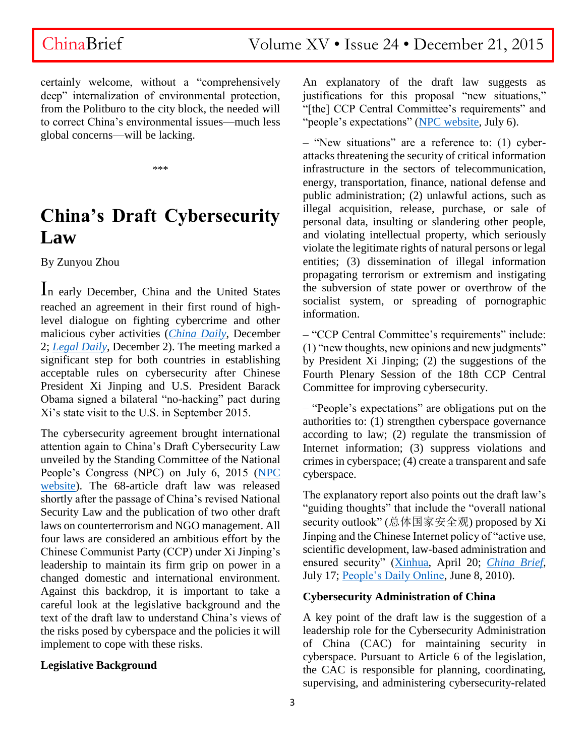certainly welcome, without a "comprehensively deep" internalization of environmental protection, from the Politburo to the city block, the needed will to correct China's environmental issues—much less global concerns—will be lacking.

\*\*\*

# **China's Draft Cybersecurity Law**

By Zunyou Zhou

In early December, China and the United States reached an agreement in their first round of highlevel dialogue on fighting cybercrime and other malicious cyber activities (*[China Daily](http://usa.chinadaily.com.cn/us/2015-12/02/content_22611583.htm)*, December 2; *[Legal Daily](http://www.legaldaily.com.cn/index_article/content/2015-12/02/content_6381490.htm)*, December 2). The meeting marked a significant step for both countries in establishing acceptable rules on cybersecurity after Chinese President Xi Jinping and U.S. President Barack Obama signed a bilateral "no-hacking" pact during Xi's state visit to the U.S. in September 2015.

The cybersecurity agreement brought international attention again to China's Draft Cybersecurity Law unveiled by the Standing Committee of the National People's Congress (NPC) on July 6, 2015 [\(NPC](http://www.npc.gov.cn/npc/xinwen/lfgz/flca/2015-07/06/content_1940614.htm)  [website\)](http://www.npc.gov.cn/npc/xinwen/lfgz/flca/2015-07/06/content_1940614.htm). The 68-article draft law was released shortly after the passage of China's revised National Security Law and the publication of two other draft laws on counterterrorism and NGO management. All four laws are considered an ambitious effort by the Chinese Communist Party (CCP) under Xi Jinping's leadership to maintain its firm grip on power in a changed domestic and international environment. Against this backdrop, it is important to take a careful look at the legislative background and the text of the draft law to understand China's views of the risks posed by cyberspace and the policies it will implement to cope with these risks.

### **Legislative Background**

An explanatory of the draft law suggests as justifications for this proposal "new situations," "[the] CCP Central Committee's requirements" and "people's expectations" [\(NPC website,](http://www.npc.gov.cn/npc/xinwen/lfgz/flca/2015-07/06/content_1940614.htm) July 6).

– "New situations" are a reference to: (1) cyberattacks threatening the security of critical information infrastructure in the sectors of telecommunication, energy, transportation, finance, national defense and public administration; (2) unlawful actions, such as illegal acquisition, release, purchase, or sale of personal data, insulting or slandering other people, and violating intellectual property, which seriously violate the legitimate rights of natural persons or legal entities; (3) dissemination of illegal information propagating terrorism or extremism and instigating the subversion of state power or overthrow of the socialist system, or spreading of pornographic information.

– "CCP Central Committee's requirements" include: (1) "new thoughts, new opinions and new judgments" by President Xi Jinping; (2) the suggestions of the Fourth Plenary Session of the 18th CCP Central Committee for improving cybersecurity.

– "People's expectations" are obligations put on the authorities to: (1) strengthen cyberspace governance according to law; (2) regulate the transmission of Internet information; (3) suppress violations and crimes in cyberspace; (4) create a transparent and safe cyberspace.

The explanatory report also points out the draft law's "guiding thoughts" that include the "overall national security outlook" (总体国家安全观) proposed by Xi Jinping and the Chinese Internet policy of "active use, scientific development, law-based administration and ensured security" [\(Xinhua,](http://news.xinhuanet.com/english/2015-04/20/c_134166428.htm) April 20; *[China Brief](http://www.jamestown.org/programs/chinabrief/single/?tx_ttnews%5Btt_news%5D=44173&cHash=dc00eedd4c61b21c691b9700b1468049#.VmbHBLgrKig)*, July 17; [People's Daily Online,](http://en.people.cn/90001/90776/90785/7017177.html) June 8, 2010).

### **Cybersecurity Administration of China**

A key point of the draft law is the suggestion of a leadership role for the Cybersecurity Administration of China (CAC) for maintaining security in cyberspace. Pursuant to Article 6 of the legislation, the CAC is responsible for planning, coordinating, supervising, and administering cybersecurity-related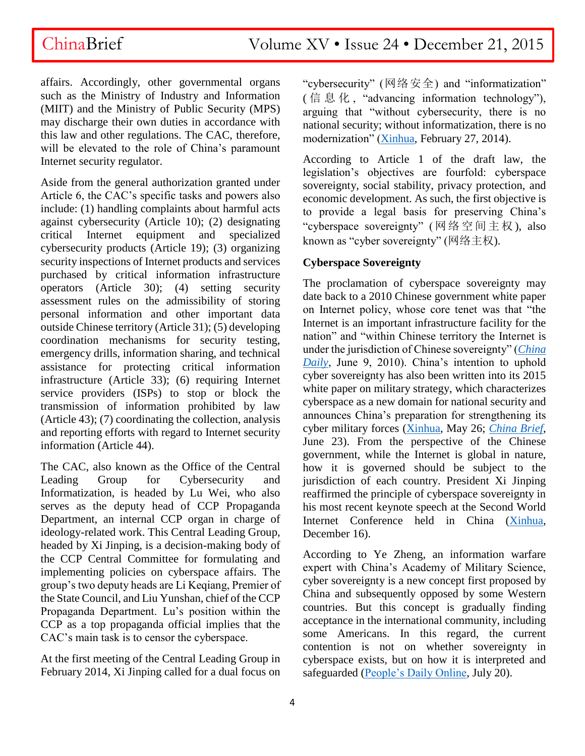affairs. Accordingly, other governmental organs such as the Ministry of Industry and Information (MIIT) and the Ministry of Public Security (MPS) may discharge their own duties in accordance with this law and other regulations. The CAC, therefore, will be elevated to the role of China's paramount Internet security regulator.

Aside from the general authorization granted under Article 6, the CAC's specific tasks and powers also include: (1) handling complaints about harmful acts against cybersecurity (Article 10); (2) designating critical Internet equipment and specialized cybersecurity products (Article 19); (3) organizing security inspections of Internet products and services purchased by critical information infrastructure operators (Article 30); (4) setting security assessment rules on the admissibility of storing personal information and other important data outside Chinese territory (Article 31); (5) developing coordination mechanisms for security testing, emergency drills, information sharing, and technical assistance for protecting critical information infrastructure (Article 33); (6) requiring Internet service providers (ISPs) to stop or block the transmission of information prohibited by law (Article 43); (7) coordinating the collection, analysis and reporting efforts with regard to Internet security information (Article 44).

The CAC, also known as the Office of the Central Leading Group for Cybersecurity and Informatization, is headed by Lu Wei, who also serves as the deputy head of CCP Propaganda Department, an internal CCP organ in charge of ideology-related work. This Central Leading Group, headed by Xi Jinping, is a decision-making body of the CCP Central Committee for formulating and implementing policies on cyberspace affairs. The group's two deputy heads are Li Keqiang, Premier of the State Council, and Liu Yunshan, chief of the CCP Propaganda Department. Lu's position within the CCP as a top propaganda official implies that the CAC's main task is to censor the cyberspace.

At the first meeting of the Central Leading Group in February 2014, Xi Jinping called for a dual focus on

"cybersecurity" (网络安全) and "informatization" ( 信息化 , "advancing information technology"), arguing that "without cybersecurity, there is no national security; without informatization, there is no modernization" [\(Xinhua,](http://news.xinhuanet.com/politics/2014-02/27/c_119538719.htm) February 27, 2014).

According to Article 1 of the draft law, the legislation's objectives are fourfold: cyberspace sovereignty, social stability, privacy protection, and economic development. As such, the first objective is to provide a legal basis for preserving China's "cyberspace sovereignty" (网络 空间主权 ), also known as "cyber sovereignty" (网络主权).

### **Cyberspace Sovereignty**

The proclamation of cyberspace sovereignty may date back to a 2010 Chinese government white paper on Internet policy, whose core tenet was that "the Internet is an important infrastructure facility for the nation" and "within Chinese territory the Internet is under the jurisdiction of Chinese sovereignty" (*[China](http://www.chinadaily.com.cn/cndy/2010-06/09/content_9952206.htm)  [Daily](http://www.chinadaily.com.cn/cndy/2010-06/09/content_9952206.htm)*, June 9, 2010). China's intention to uphold cyber sovereignty has also been written into its 2015 white paper on military strategy, which characterizes cyberspace as a new domain for national security and announces China's preparation for strengthening its cyber military forces [\(Xinhua,](http://news.xinhuanet.com/english/china/2015-05/26/c_134271001_4.htm) May 26; *[China Brief](http://www.jamestown.org/single/?tx_ttnews%5Btt_news%5D=44072&no_cache=1#.VfAujhGqpHw)*, June 23). From the perspective of the Chinese government, while the Internet is global in nature, how it is governed should be subject to the jurisdiction of each country. President Xi Jinping reaffirmed the principle of cyberspace sovereignty in his most recent keynote speech at the Second World Internet Conference held in China [\(Xinhua,](http://news.xinhuanet.com/politics/2015-12/16/c_1117481089.htm) December 16).

According to Ye Zheng, an information warfare expert with China's Academy of Military Science, cyber sovereignty is a new concept first proposed by China and subsequently opposed by some Western countries. But this concept is gradually finding acceptance in the international community, including some Americans. In this regard, the current contention is not on whether sovereignty in cyberspace exists, but on how it is interpreted and safeguarded [\(People's Daily Online,](http://theory.people.com.cn/n/2015/0720/c386965-27332547.html) July 20).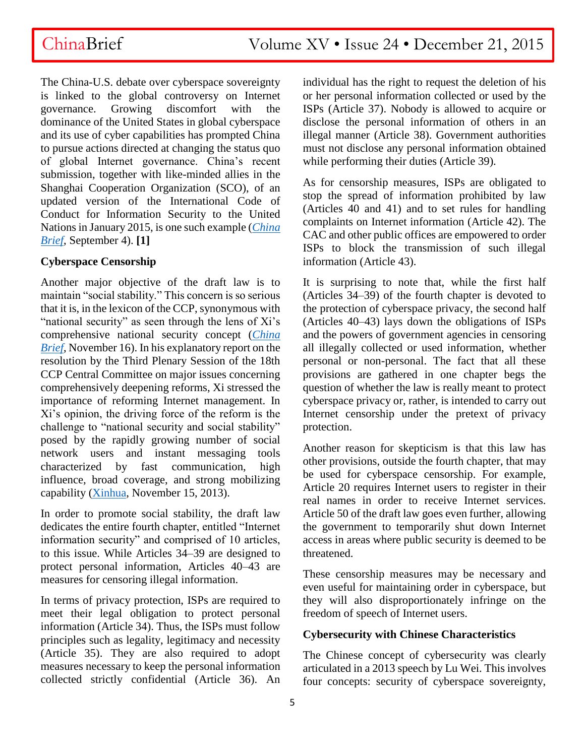ChinaBrief Volume XV • Issue 24 • December 21, 2015

The China-U.S. debate over cyberspace sovereignty is linked to the global controversy on Internet governance. Growing discomfort with the dominance of the United States in global cyberspace and its use of cyber capabilities has prompted China to pursue actions directed at changing the status quo of global Internet governance. China's recent submission, together with like-minded allies in the Shanghai Cooperation Organization (SCO), of an updated version of the International Code of Conduct for Information Security to the United Nations in January 2015, is one such example (*[China](http://www.jamestown.org/programs/chinabrief/single/?tx_ttnews%5Btt_news%5D=44338&tx_ttnews%5BbackPid%5D=789&no_cache=1#.Ve_oYhGqpHw)  [Brief](http://www.jamestown.org/programs/chinabrief/single/?tx_ttnews%5Btt_news%5D=44338&tx_ttnews%5BbackPid%5D=789&no_cache=1#.Ve_oYhGqpHw)*, September 4). **[1]**

### **Cyberspace Censorship**

Another major objective of the draft law is to maintain "social stability." This concern is so serious that it is, in the lexicon of the CCP, synonymous with "national security" as seen through the lens of Xi's comprehensive national security concept (*[China](http://www.jamestown.org/programs/chinabrief/single/?tx_ttnews%5Btt_news%5D=44601&cHash=a928bb6f937bf5a714f5cfd251aa333c#.VmrqM0orKig)  [Brief](http://www.jamestown.org/programs/chinabrief/single/?tx_ttnews%5Btt_news%5D=44601&cHash=a928bb6f937bf5a714f5cfd251aa333c#.VmrqM0orKig)*, November 16). In his explanatory report on the resolution by the Third Plenary Session of the 18th CCP Central Committee on major issues concerning comprehensively deepening reforms, Xi stressed the importance of reforming Internet management. In Xi's opinion, the driving force of the reform is the challenge to "national security and social stability" posed by the rapidly growing number of social network users and instant messaging tools characterized by fast communication, high influence, broad coverage, and strong mobilizing capability [\(Xinhua,](http://news.xinhuanet.com/politics/2013-11/15/c_118164294.htm) November 15, 2013).

In order to promote social stability, the draft law dedicates the entire fourth chapter, entitled "Internet information security" and comprised of 10 articles, to this issue. While Articles 34–39 are designed to protect personal information, Articles 40–43 are measures for censoring illegal information.

In terms of privacy protection, ISPs are required to meet their legal obligation to protect personal information (Article 34). Thus, the ISPs must follow principles such as legality, legitimacy and necessity (Article 35). They are also required to adopt measures necessary to keep the personal information collected strictly confidential (Article 36). An

individual has the right to request the deletion of his or her personal information collected or used by the ISPs (Article 37). Nobody is allowed to acquire or disclose the personal information of others in an illegal manner (Article 38). Government authorities must not disclose any personal information obtained while performing their duties (Article 39).

As for censorship measures, ISPs are obligated to stop the spread of information prohibited by law (Articles 40 and 41) and to set rules for handling complaints on Internet information (Article 42). The CAC and other public offices are empowered to order ISPs to block the transmission of such illegal information (Article 43).

It is surprising to note that, while the first half (Articles 34–39) of the fourth chapter is devoted to the protection of cyberspace privacy, the second half (Articles 40–43) lays down the obligations of ISPs and the powers of government agencies in censoring all illegally collected or used information, whether personal or non-personal. The fact that all these provisions are gathered in one chapter begs the question of whether the law is really meant to protect cyberspace privacy or, rather, is intended to carry out Internet censorship under the pretext of privacy protection.

Another reason for skepticism is that this law has other provisions, outside the fourth chapter, that may be used for cyberspace censorship. For example, Article 20 requires Internet users to register in their real names in order to receive Internet services. Article 50 of the draft law goes even further, allowing the government to temporarily shut down Internet access in areas where public security is deemed to be threatened.

These censorship measures may be necessary and even useful for maintaining order in cyberspace, but they will also disproportionately infringe on the freedom of speech of Internet users.

### **Cybersecurity with Chinese Characteristics**

The Chinese concept of cybersecurity was clearly articulated in a 2013 speech by Lu Wei. This involves four concepts: security of cyberspace sovereignty,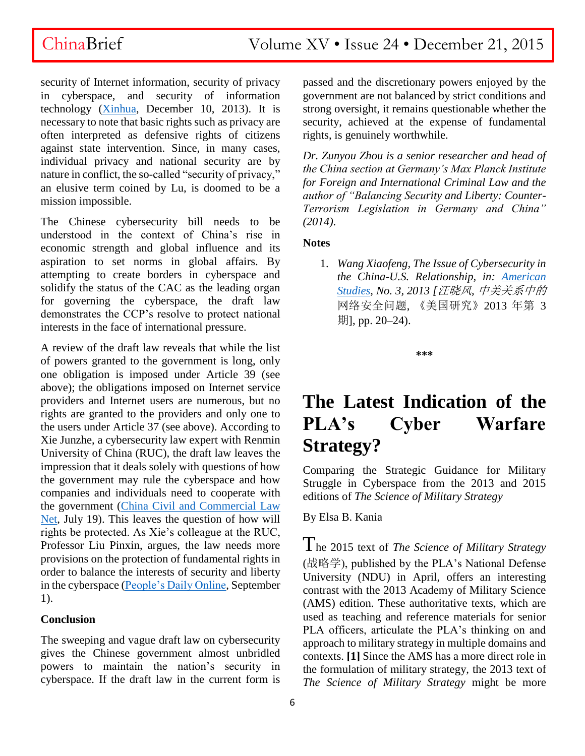security of Internet information, security of privacy in cyberspace, and security of information technology [\(Xinhua,](http://news.xinhuanet.com/world/2013-12/10/c_125838121.htm) December 10, 2013). It is necessary to note that basic rights such as privacy are often interpreted as defensive rights of citizens against state intervention. Since, in many cases, individual privacy and national security are by nature in conflict, the so-called "security of privacy," an elusive term coined by Lu, is doomed to be a mission impossible.

The Chinese cybersecurity bill needs to be understood in the context of China's rise in economic strength and global influence and its aspiration to set norms in global affairs. By attempting to create borders in cyberspace and solidify the status of the CAC as the leading organ for governing the cyberspace, the draft law demonstrates the CCP's resolve to protect national interests in the face of international pressure.

A review of the draft law reveals that while the list of powers granted to the government is long, only one obligation is imposed under Article 39 (see above); the obligations imposed on Internet service providers and Internet users are numerous, but no rights are granted to the providers and only one to the users under Article 37 (see above). According to Xie Junzhe, a cybersecurity law expert with Renmin University of China (RUC), the draft law leaves the impression that it deals solely with questions of how the government may rule the cyberspace and how companies and individuals need to cooperate with the government [\(China Civil and Commercial Law](http://www.civillaw.com.cn/bo/zlwz/?29405)  [Net,](http://www.civillaw.com.cn/bo/zlwz/?29405) July 19). This leaves the question of how will rights be protected. As Xie's colleague at the RUC, Professor Liu Pinxin, argues, the law needs more provisions on the protection of fundamental rights in order to balance the interests of security and liberty in the cyberspace [\(People's Daily Online,](http://theory.people.com.cn/n/2015/0901/c387081-27537634.html) September 1).

### **Conclusion**

The sweeping and vague draft law on cybersecurity gives the Chinese government almost unbridled powers to maintain the nation's security in cyberspace. If the draft law in the current form is passed and the discretionary powers enjoyed by the government are not balanced by strict conditions and strong oversight, it remains questionable whether the security, achieved at the expense of fundamental rights, is genuinely worthwhile.

*Dr. Zunyou Zhou is a senior researcher and head of the China section at Germany's Max Planck Institute for Foreign and International Criminal Law and the author of "Balancing Security and Liberty: Counter-Terrorism Legislation in Germany and China" (2014).*

### **Notes**

1. *Wang Xiaofeng, The Issue of Cybersecurity in the China-U.S. Relationship, in: [American](http://www.cas.fudan.edu.cn/picture/2150.pdf)  [Studies,](http://www.cas.fudan.edu.cn/picture/2150.pdf) No. 3, 2013 [*汪晓风*,* 中美关系中的 网络安全问题, 《美国研究》2013 年第 3 期], pp. 20–24).

**\*\*\***

# **The Latest Indication of the PLA's Cyber Warfare Strategy?**

Comparing the Strategic Guidance for Military Struggle in Cyberspace from the 2013 and 2015 editions of *The Science of Military Strategy* 

By Elsa B. Kania

The 2015 text of *The Science of Military Strategy*  (战略学), published by the PLA's National Defense University (NDU) in April, offers an interesting contrast with the 2013 Academy of Military Science (AMS) edition. These authoritative texts, which are used as teaching and reference materials for senior PLA officers, articulate the PLA's thinking on and approach to military strategy in multiple domains and contexts. **[1]** Since the AMS has a more direct role in the formulation of military strategy, the 2013 text of *The Science of Military Strategy* might be more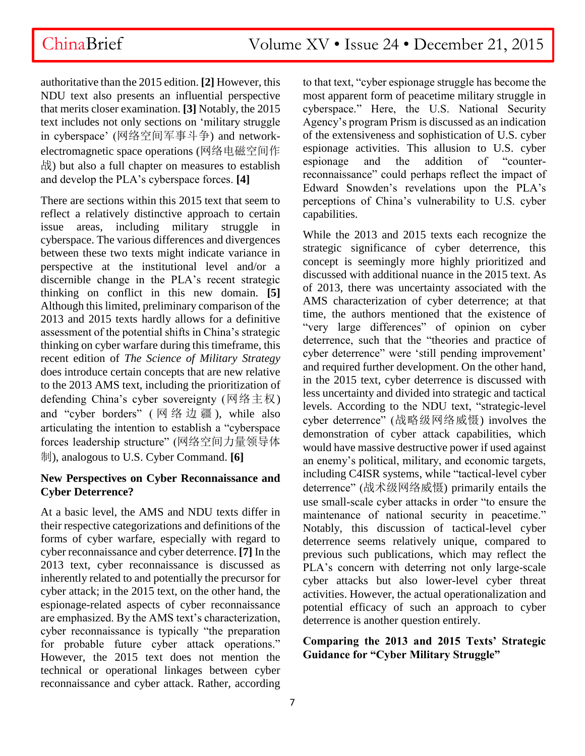authoritative than the 2015 edition. **[2]** However, this NDU text also presents an influential perspective that merits closer examination. **[3]** Notably, the 2015 text includes not only sections on 'military struggle in cyberspace' (网络空间军事斗争) and networkelectromagnetic space operations (网络电磁空间作 战) but also a full chapter on measures to establish and develop the PLA's cyberspace forces. **[4]**

There are sections within this 2015 text that seem to reflect a relatively distinctive approach to certain issue areas, including military struggle in cyberspace. The various differences and divergences between these two texts might indicate variance in perspective at the institutional level and/or a discernible change in the PLA's recent strategic thinking on conflict in this new domain. **[5]**  Although this limited, preliminary comparison of the 2013 and 2015 texts hardly allows for a definitive assessment of the potential shifts in China's strategic thinking on cyber warfare during this timeframe, this recent edition of *The Science of Military Strategy* does introduce certain concepts that are new relative to the 2013 AMS text, including the prioritization of defending China's cyber sovereignty (网络主权) and "cyber borders" ( 网络边疆 ), while also articulating the intention to establish a "cyberspace forces leadership structure" (网络空间力量领导体 制), analogous to U.S. Cyber Command. **[6]** 

### **New Perspectives on Cyber Reconnaissance and Cyber Deterrence?**

At a basic level, the AMS and NDU texts differ in their respective categorizations and definitions of the forms of cyber warfare, especially with regard to cyber reconnaissance and cyber deterrence. **[7]** In the 2013 text, cyber reconnaissance is discussed as inherently related to and potentially the precursor for cyber attack; in the 2015 text, on the other hand, the espionage-related aspects of cyber reconnaissance are emphasized. By the AMS text's characterization, cyber reconnaissance is typically "the preparation for probable future cyber attack operations." However, the 2015 text does not mention the technical or operational linkages between cyber reconnaissance and cyber attack. Rather, according

to that text, "cyber espionage struggle has become the most apparent form of peacetime military struggle in cyberspace." Here, the U.S. National Security Agency's program Prism is discussed as an indication of the extensiveness and sophistication of U.S. cyber espionage activities. This allusion to U.S. cyber espionage and the addition of "counterreconnaissance" could perhaps reflect the impact of Edward Snowden's revelations upon the PLA's perceptions of China's vulnerability to U.S. cyber capabilities.

While the 2013 and 2015 texts each recognize the strategic significance of cyber deterrence, this concept is seemingly more highly prioritized and discussed with additional nuance in the 2015 text. As of 2013, there was uncertainty associated with the AMS characterization of cyber deterrence; at that time, the authors mentioned that the existence of "very large differences" of opinion on cyber deterrence, such that the "theories and practice of cyber deterrence" were 'still pending improvement' and required further development. On the other hand, in the 2015 text, cyber deterrence is discussed with less uncertainty and divided into strategic and tactical levels. According to the NDU text, "strategic-level cyber deterrence" (战略级网络威慑) involves the demonstration of cyber attack capabilities, which would have massive destructive power if used against an enemy's political, military, and economic targets, including C4ISR systems, while "tactical-level cyber deterrence" (战术级网络威慑) primarily entails the use small-scale cyber attacks in order "to ensure the maintenance of national security in peacetime." Notably, this discussion of tactical-level cyber deterrence seems relatively unique, compared to previous such publications, which may reflect the PLA's concern with deterring not only large-scale cyber attacks but also lower-level cyber threat activities. However, the actual operationalization and potential efficacy of such an approach to cyber deterrence is another question entirely.

### **Comparing the 2013 and 2015 Texts' Strategic Guidance for "Cyber Military Struggle"**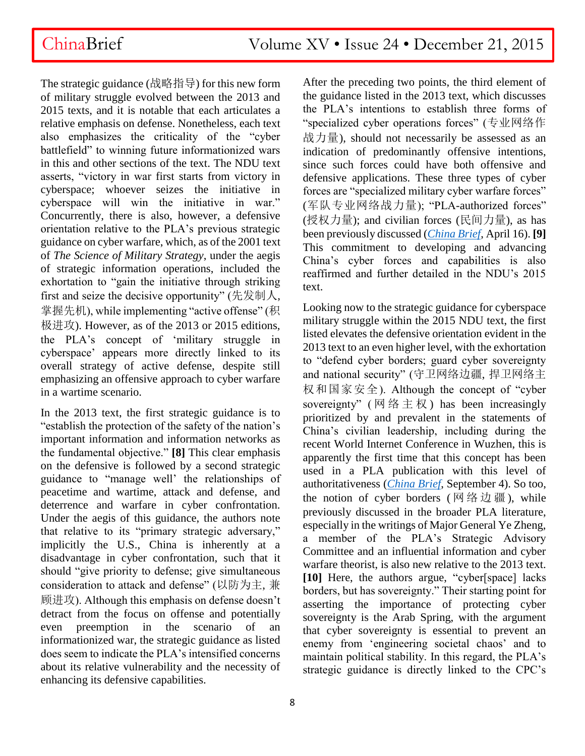The strategic guidance (战略指导) for this new form of military struggle evolved between the 2013 and 2015 texts, and it is notable that each articulates a relative emphasis on defense. Nonetheless, each text also emphasizes the criticality of the "cyber battlefield" to winning future informationized wars in this and other sections of the text. The NDU text asserts, "victory in war first starts from victory in cyberspace; whoever seizes the initiative in cyberspace will win the initiative in war." Concurrently, there is also, however, a defensive orientation relative to the PLA's previous strategic guidance on cyber warfare, which, as of the 2001 text of *The Science of Military Strategy*, under the aegis of strategic information operations, included the exhortation to "gain the initiative through striking first and seize the decisive opportunity" (先发制人, 掌握先机), while implementing "active offense" (积 极进攻). However, as of the 2013 or 2015 editions, the PLA's concept of 'military struggle in cyberspace' appears more directly linked to its overall strategy of active defense, despite still emphasizing an offensive approach to cyber warfare in a wartime scenario.

In the 2013 text, the first strategic guidance is to "establish the protection of the safety of the nation's important information and information networks as the fundamental objective." **[8]** This clear emphasis on the defensive is followed by a second strategic guidance to "manage well' the relationships of peacetime and wartime, attack and defense, and deterrence and warfare in cyber confrontation. Under the aegis of this guidance, the authors note that relative to its "primary strategic adversary," implicitly the U.S., China is inherently at a disadvantage in cyber confrontation, such that it should "give priority to defense; give simultaneous consideration to attack and defense" (以防为主, 兼 顾进攻). Although this emphasis on defense doesn't detract from the focus on offense and potentially even preemption in the scenario of an informationized war, the strategic guidance as listed does seem to indicate the PLA's intensified concerns about its relative vulnerability and the necessity of enhancing its defensive capabilities.

After the preceding two points, the third element of the guidance listed in the 2013 text, which discusses the PLA's intentions to establish three forms of "specialized cyber operations forces" (专业网络作 战力量), should not necessarily be assessed as an indication of predominantly offensive intentions, since such forces could have both offensive and defensive applications. These three types of cyber forces are "specialized military cyber warfare forces" (军队专业网络战力量); "PLA-authorized forces" (授权力量); and civilian forces (民间力量), as has been previously discussed (*[China Brief](http://www.jamestown.org/single/?tx_ttnews%5Btt_news%5D=43798&no_cache=1#.VmkHm9-rSCU)*, April 16). **[9]**  This commitment to developing and advancing China's cyber forces and capabilities is also reaffirmed and further detailed in the NDU's 2015 text.

Looking now to the strategic guidance for cyberspace military struggle within the 2015 NDU text, the first listed elevates the defensive orientation evident in the 2013 text to an even higher level, with the exhortation to "defend cyber borders; guard cyber sovereignty and national security" (守卫网络边疆, 捍卫网络主 权和国家安全). Although the concept of "cyber sovereignty" (网络主权) has been increasingly prioritized by and prevalent in the statements of China's civilian leadership, including during the recent World Internet Conference in Wuzhen, this is apparently the first time that this concept has been used in a PLA publication with this level of authoritativeness (*[China Brief](http://www.jamestown.org/programs/chinabrief/single/?tx_ttnews%5Btt_news%5D=44338&cHash=1622a6ba07e8dfa6844d135dfaf073ad#.VmkS0N-rSCU)*, September 4). So too, the notion of cyber borders (网络边疆), while previously discussed in the broader PLA literature, especially in the writings of Major General Ye Zheng, a member of the PLA's Strategic Advisory Committee and an influential information and cyber warfare theorist, is also new relative to the 2013 text. **[10]** Here, the authors argue, "cyber[space] lacks borders, but has sovereignty." Their starting point for asserting the importance of protecting cyber sovereignty is the Arab Spring, with the argument that cyber sovereignty is essential to prevent an enemy from 'engineering societal chaos' and to maintain political stability. In this regard, the PLA's strategic guidance is directly linked to the CPC's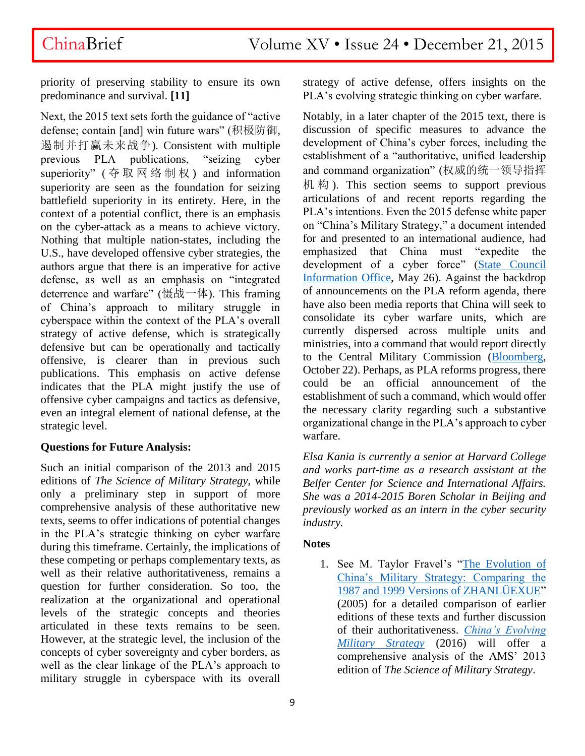priority of preserving stability to ensure its own predominance and survival. **[11]**

Next, the 2015 text sets forth the guidance of "active defense; contain [and] win future wars" (积极防御, 遏制并打赢未来战争). Consistent with multiple previous PLA publications, "seizing cyber superiority" ( 夺 取 网 络 制 权 ) and information superiority are seen as the foundation for seizing battlefield superiority in its entirety. Here, in the context of a potential conflict, there is an emphasis on the cyber-attack as a means to achieve victory. Nothing that multiple nation-states, including the U.S., have developed offensive cyber strategies, the authors argue that there is an imperative for active defense, as well as an emphasis on "integrated deterrence and warfare" (慑战一体). This framing of China's approach to military struggle in cyberspace within the context of the PLA's overall strategy of active defense, which is strategically defensive but can be operationally and tactically offensive, is clearer than in previous such publications. This emphasis on active defense indicates that the PLA might justify the use of offensive cyber campaigns and tactics as defensive, even an integral element of national defense, at the strategic level.

### **Questions for Future Analysis:**

Such an initial comparison of the 2013 and 2015 editions of *The Science of Military Strategy*, while only a preliminary step in support of more comprehensive analysis of these authoritative new texts, seems to offer indications of potential changes in the PLA's strategic thinking on cyber warfare during this timeframe. Certainly, the implications of these competing or perhaps complementary texts, as well as their relative authoritativeness, remains a question for further consideration. So too, the realization at the organizational and operational levels of the strategic concepts and theories articulated in these texts remains to be seen. However, at the strategic level, the inclusion of the concepts of cyber sovereignty and cyber borders, as well as the clear linkage of the PLA's approach to military struggle in cyberspace with its overall

strategy of active defense, offers insights on the PLA's evolving strategic thinking on cyber warfare.

Notably, in a later chapter of the 2015 text, there is discussion of specific measures to advance the development of China's cyber forces, including the establishment of a "authoritative, unified leadership and command organization" (权威的统一领导指挥 机 构 ). This section seems to support previous articulations of and recent reports regarding the PLA's intentions. Even the 2015 defense white paper on "China's Military Strategy," a document intended for and presented to an international audience, had emphasized that China must "expedite the development of a cyber force" (State Council [Information Office,](http://www.scio.gov.cn/zfbps/gfbps/Document/1435341/1435341.htm) May 26). Against the backdrop of announcements on the PLA reform agenda, there have also been media reports that China will seek to consolidate its cyber warfare units, which are currently dispersed across multiple units and ministries, into a command that would report directly to the Central Military Commission [\(Bloomberg,](http://www.bloomberg.com/news/articles/2015-10-22/china-military-chiefs-seek-to-unify-cyber-warfare-operations) October 22). Perhaps, as PLA reforms progress, there could be an official announcement of the establishment of such a command, which would offer the necessary clarity regarding such a substantive organizational change in the PLA's approach to cyber warfare.

*Elsa Kania is currently a senior at Harvard College and works part-time as a research assistant at the Belfer Center for Science and International Affairs. She was a 2014-2015 Boren Scholar in Beijing and previously worked as an intern in the cyber security industry.*

### **Notes**

1. See M. Taylor Fravel's ["The Evolution of](http://taylorfravel.com/documents/research/fravel.2005.evolution.china.military.strategy.pdf)  [China's Military Strategy: Comparing the](http://taylorfravel.com/documents/research/fravel.2005.evolution.china.military.strategy.pdf)  [1987 and 1999 Versions of ZHANLÜEXUE"](http://taylorfravel.com/documents/research/fravel.2005.evolution.china.military.strategy.pdf) (2005) for a detailed comparison of earlier editions of these texts and further discussion of their authoritativeness. *[China's Evolving](http://www.brookings.edu/research/books/2015/chinas-evolving-military-strategy)  [Military Strategy](http://www.brookings.edu/research/books/2015/chinas-evolving-military-strategy)* (2016) will offer a comprehensive analysis of the AMS' 2013 edition of *The Science of Military Strategy*.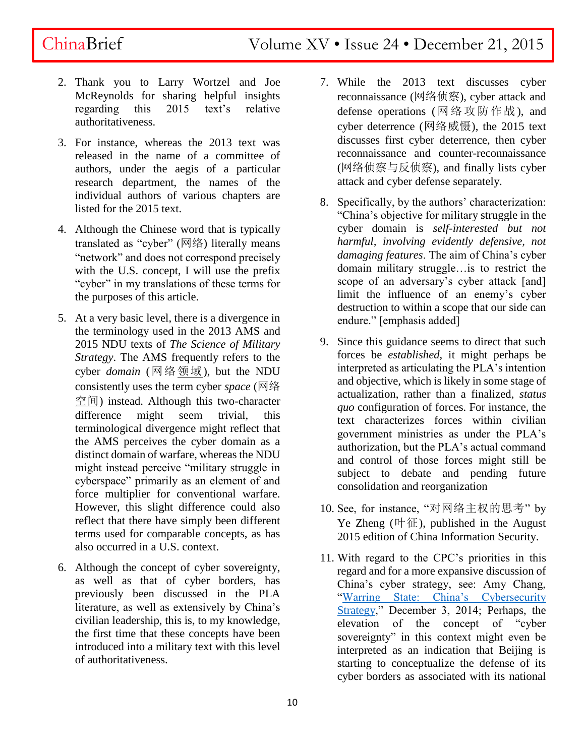- 2. Thank you to Larry Wortzel and Joe McReynolds for sharing helpful insights regarding this 2015 text's relative authoritativeness.
- 3. For instance, whereas the 2013 text was released in the name of a committee of authors, under the aegis of a particular research department, the names of the individual authors of various chapters are listed for the 2015 text.
- 4. Although the Chinese word that is typically translated as "cyber" (网络) literally means "network" and does not correspond precisely with the U.S. concept, I will use the prefix "cyber" in my translations of these terms for the purposes of this article.
- 5. At a very basic level, there is a divergence in the terminology used in the 2013 AMS and 2015 NDU texts of *The Science of Military Strategy*. The AMS frequently refers to the cyber *domain* (网络领域), but the NDU consistently uses the term cyber *space* (网络 空间) instead. Although this two-character difference might seem trivial, this terminological divergence might reflect that the AMS perceives the cyber domain as a distinct domain of warfare, whereas the NDU might instead perceive "military struggle in cyberspace" primarily as an element of and force multiplier for conventional warfare. However, this slight difference could also reflect that there have simply been different terms used for comparable concepts, as has also occurred in a U.S. context.
- 6. Although the concept of cyber sovereignty, as well as that of cyber borders, has previously been discussed in the PLA literature, as well as extensively by China's civilian leadership, this is, to my knowledge, the first time that these concepts have been introduced into a military text with this level of authoritativeness.
- 7. While the 2013 text discusses cyber reconnaissance (网络侦察), cyber attack and defense operations (网络攻防作战), and cyber deterrence (网络威慑), the 2015 text discusses first cyber deterrence, then cyber reconnaissance and counter-reconnaissance (网络侦察与反侦察), and finally lists cyber attack and cyber defense separately.
- 8. Specifically, by the authors' characterization: "China's objective for military struggle in the cyber domain is *self-interested but not harmful, involving evidently defensive, not damaging features*. The aim of China's cyber domain military struggle…is to restrict the scope of an adversary's cyber attack [and] limit the influence of an enemy's cyber destruction to within a scope that our side can endure." [emphasis added]
- 9. Since this guidance seems to direct that such forces be *established*, it might perhaps be interpreted as articulating the PLA's intention and objective, which is likely in some stage of actualization, rather than a finalized, *status quo* configuration of forces. For instance, the text characterizes forces within civilian government ministries as under the PLA's authorization, but the PLA's actual command and control of those forces might still be subject to debate and pending future consolidation and reorganization
- 10. See, for instance, "对网络主权的思考" by Ye Zheng  $(\mathbb{H} \times \mathbb{R})$ , published in the August 2015 edition of China Information Security.
- 11. With regard to the CPC's priorities in this regard and for a more expansive discussion of China's cyber strategy, see: Amy Chang, ["Warring State: China's Cybersecurity](http://www.cnas.org/chinas-cybersecurity-strategy#.VmkTLd-rSCU)  [Strategy,](http://www.cnas.org/chinas-cybersecurity-strategy#.VmkTLd-rSCU)" December 3, 2014; Perhaps, the elevation of the concept of "cyber sovereignty" in this context might even be interpreted as an indication that Beijing is starting to conceptualize the defense of its cyber borders as associated with its national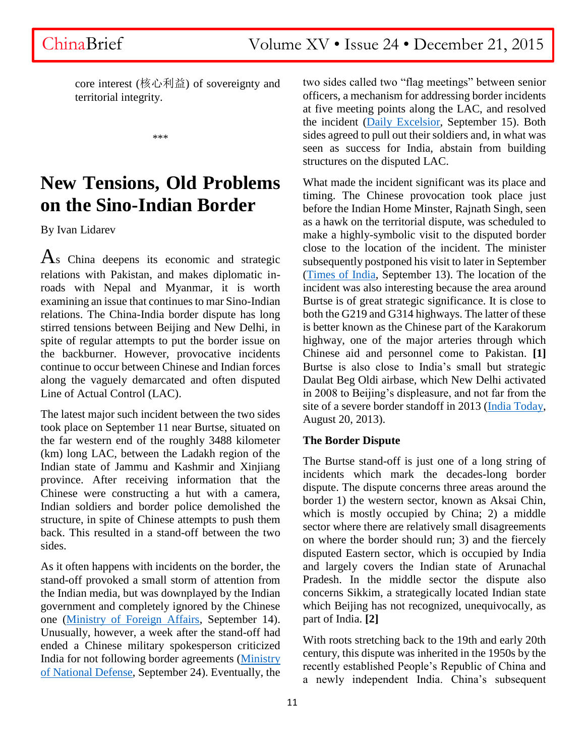core interest (核心利益) of sovereignty and territorial integrity.

\*\*\*

## **New Tensions, Old Problems on the Sino-Indian Border**

By Ivan Lidarev

 $\overline{A}$ s China deepens its economic and strategic relations with Pakistan, and makes diplomatic inroads with Nepal and Myanmar, it is worth examining an issue that continues to mar Sino-Indian relations. The China-India border dispute has long stirred tensions between Beijing and New Delhi, in spite of regular attempts to put the border issue on the backburner. However, provocative incidents continue to occur between Chinese and Indian forces along the vaguely demarcated and often disputed Line of Actual Control (LAC).

The latest major such incident between the two sides took place on September 11 near Burtse, situated on the far western end of the roughly 3488 kilometer (km) long LAC, between the Ladakh region of the Indian state of Jammu and Kashmir and Xinjiang province. After receiving information that the Chinese were constructing a hut with a camera, Indian soldiers and border police demolished the structure, in spite of Chinese attempts to push them back. This resulted in a stand-off between the two sides.

As it often happens with incidents on the border, the stand-off provoked a small storm of attention from the Indian media, but was downplayed by the Indian government and completely ignored by the Chinese one [\(Ministry of Foreign Affairs,](http://www.fmprc.gov.cn/mfa_eng/xwfw_665399/s2510_665401/2535_665405/t1296485.shtml) September 14). Unusually, however, a week after the stand-off had ended a Chinese military spokesperson criticized India for not following border agreements [\(Ministry](http://www.mod.gov.cn/affair/2015-09/24/content_4622115.htm)  [of National Defense,](http://www.mod.gov.cn/affair/2015-09/24/content_4622115.htm) September 24). Eventually, the

two sides called two "flag meetings" between senior officers, a mechanism for addressing border incidents at five meeting points along the LAC, and resolved the incident [\(Daily Excelsior,](http://www.dailyexcelsior.com/india-china-agree-to-maintain-peace-on-lac-troops-to-retreat/) September 15). Both sides agreed to pull out their soldiers and, in what was seen as success for India, abstain from building structures on the disputed LAC.

What made the incident significant was its place and timing. The Chinese provocation took place just before the Indian Home Minster, Rajnath Singh, seen as a hawk on the territorial dispute, was scheduled to make a highly-symbolic visit to the disputed border close to the location of the incident. The minister subsequently postponed his visit to later in September [\(Times of India,](http://timesofindia.indiatimes.com/india/Rajnath-postpones-visit-to-forward-areas-along-Pak-China-borders/articleshow/48941711.cms) September 13). The location of the incident was also interesting because the area around Burtse is of great strategic significance. It is close to both the G219 and G314 highways. The latter of these is better known as the Chinese part of the Karakorum highway, one of the major arteries through which Chinese aid and personnel come to Pakistan. **[1]**  Burtse is also close to India's small but strategic Daulat Beg Oldi airbase, which New Delhi activated in 2008 to Beijing's displeasure, and not far from the site of a severe border standoff in 2013 [\(India Today,](http://indiatoday.intoday.in/story/india-dares-china-iaf-super-hercules-aircraft-daulat-beg-oldie-ladakh/1/300395.html) August 20, 2013).

### **The Border Dispute**

The Burtse stand-off is just one of a long string of incidents which mark the decades-long border dispute. The dispute concerns three areas around the border 1) the western sector, known as Aksai Chin, which is mostly occupied by China; 2) a middle sector where there are relatively small disagreements on where the border should run; 3) and the fiercely disputed Eastern sector, which is occupied by India and largely covers the Indian state of Arunachal Pradesh. In the middle sector the dispute also concerns Sikkim, a strategically located Indian state which Beijing has not recognized, unequivocally, as part of India. **[2]**

With roots stretching back to the 19th and early 20th century, this dispute was inherited in the 1950s by the recently established People's Republic of China and a newly independent India. China's subsequent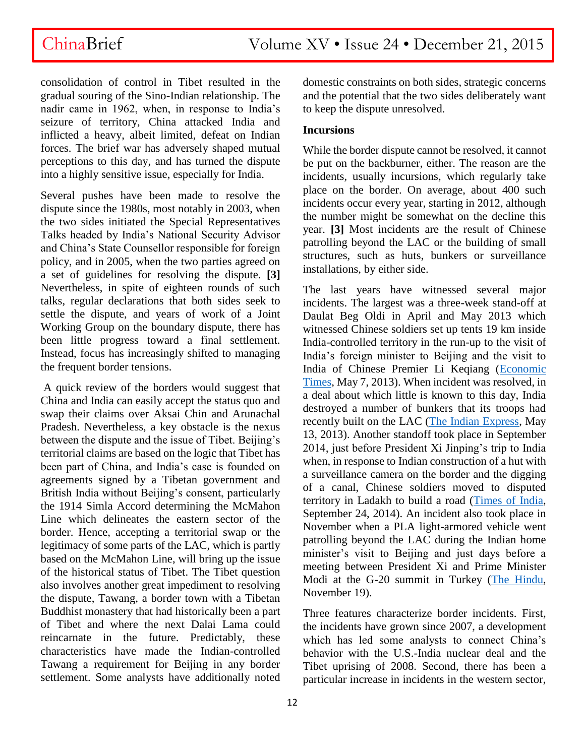consolidation of control in Tibet resulted in the gradual souring of the Sino-Indian relationship. The nadir came in 1962, when, in response to India's seizure of territory, China attacked India and inflicted a heavy, albeit limited, defeat on Indian forces. The brief war has adversely shaped mutual perceptions to this day, and has turned the dispute into a highly sensitive issue, especially for India.

Several pushes have been made to resolve the dispute since the 1980s, most notably in 2003, when the two sides initiated the Special Representatives Talks headed by India's National Security Advisor and China's State Counsellor responsible for foreign policy, and in 2005, when the two parties agreed on a set of guidelines for resolving the dispute. **[3]** Nevertheless, in spite of eighteen rounds of such talks, regular declarations that both sides seek to settle the dispute, and years of work of a Joint Working Group on the boundary dispute, there has been little progress toward a final settlement. Instead, focus has increasingly shifted to managing the frequent border tensions.

A quick review of the borders would suggest that China and India can easily accept the status quo and swap their claims over Aksai Chin and Arunachal Pradesh. Nevertheless, a key obstacle is the nexus between the dispute and the issue of Tibet. Beijing's territorial claims are based on the logic that Tibet has been part of China, and India's case is founded on agreements signed by a Tibetan government and British India without Beijing's consent, particularly the 1914 Simla Accord determining the McMahon Line which delineates the eastern sector of the border. Hence, accepting a territorial swap or the legitimacy of some parts of the LAC, which is partly based on the McMahon Line, will bring up the issue of the historical status of Tibet. The Tibet question also involves another great impediment to resolving the dispute, Tawang, a border town with a Tibetan Buddhist monastery that had historically been a part of Tibet and where the next Dalai Lama could reincarnate in the future. Predictably, these characteristics have made the Indian-controlled Tawang a requirement for Beijing in any border settlement. Some analysts have additionally noted

domestic constraints on both sides, strategic concerns and the potential that the two sides deliberately want to keep the dispute unresolved.

### **Incursions**

While the border dispute cannot be resolved, it cannot be put on the backburner, either. The reason are the incidents, usually incursions, which regularly take place on the border. On average, about 400 such incidents occur every year, starting in 2012, although the number might be somewhat on the decline this year. **[3]** Most incidents are the result of Chinese patrolling beyond the LAC or the building of small structures, such as huts, bunkers or surveillance installations, by either side.

The last years have witnessed several major incidents. The largest was a three-week stand-off at Daulat Beg Oldi in April and May 2013 which witnessed Chinese soldiers set up tents 19 km inside India-controlled territory in the run-up to the visit of India's foreign minister to Beijing and the visit to India of Chinese Premier Li Keqiang [\(Economic](http://articles.economictimes.indiatimes.com/2013-05-07/news/39091189_1_chumar-indian-army-bunkers)  [Times,](http://articles.economictimes.indiatimes.com/2013-05-07/news/39091189_1_chumar-indian-army-bunkers) May 7, 2013). When incident was resolved, in a deal about which little is known to this day, India destroyed a number of bunkers that its troops had recently built on the LAC [\(The Indian Express,](http://archive.indianexpress.com/news/china-incursion-indian-army-dismantling-chumar-bunkers-in-ladakh/1113133/) May 13, 2013). Another standoff took place in September 2014, just before President Xi Jinping's trip to India when, in response to Indian construction of a hut with a surveillance camera on the border and the digging of a canal, Chinese soldiers moved to disputed territory in Ladakh to build a road [\(Times of India,](http://timesofindia.indiatimes.com/india/With-canal-and-hut-India-stands-up-to-China-on-disputed-frontier/articleshow/43430234.cms) September 24, 2014). An incident also took place in November when a PLA light-armored vehicle went patrolling beyond the LAC during the Indian home minister's visit to Beijing and just days before a meeting between President Xi and Prime Minister Modi at the G-20 summit in Turkey [\(The Hindu,](http://www.thehindu.com/news/national/chinese-army-entered-india-before-modi-met-xi-at-g20/article7892882.ece?homepage=true) November 19).

Three features characterize border incidents. First, the incidents have grown since 2007, a development which has led some analysts to connect China's behavior with the U.S.-India nuclear deal and the Tibet uprising of 2008. Second, there has been a particular increase in incidents in the western sector,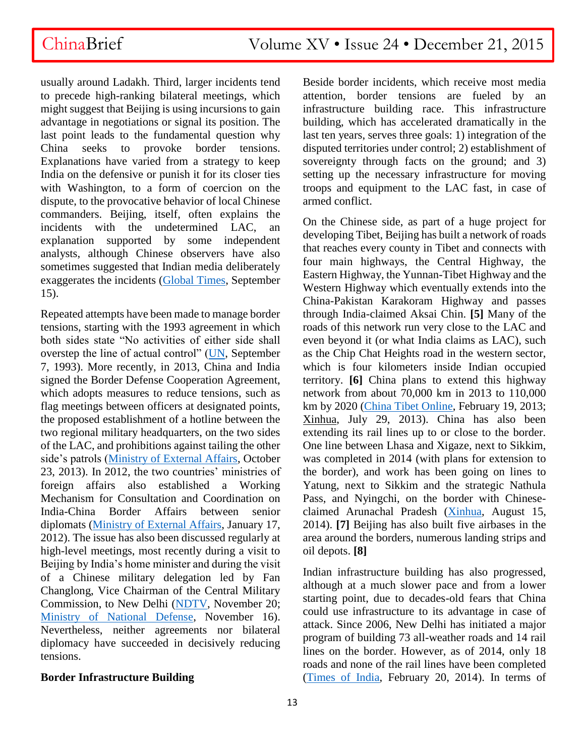usually around Ladakh. Third, larger incidents tend to precede high-ranking bilateral meetings, which might suggest that Beijing is using incursions to gain advantage in negotiations or signal its position. The last point leads to the fundamental question why China seeks to provoke border tensions. Explanations have varied from a strategy to keep India on the defensive or punish it for its closer ties with Washington, to a form of coercion on the dispute, to the provocative behavior of local Chinese commanders. Beijing, itself, often explains the incidents with the undetermined LAC, an explanation supported by some independent analysts, although Chinese observers have also sometimes suggested that Indian media deliberately exaggerates the incidents [\(Global Times,](http://www.globaltimes.cn/content/942446.shtml) September 15).

Repeated attempts have been made to manage border tensions, starting with the 1993 agreement in which both sides state "No activities of either side shall overstep the line of actual control" [\(UN,](http://peacemaker.un.org/chinaindia-borderagreement93) September 7, 1993). More recently, in 2013, China and India signed the Border Defense Cooperation Agreement, which adopts measures to reduce tensions, such as flag meetings between officers at designated points, the proposed establishment of a hotline between the two regional military headquarters, on the two sides of the LAC, and prohibitions against tailing the other side's patrols [\(Ministry of External Affairs,](http://www.mea.gov.in/bilateral-documents.htm?dtl/22366/Agreement_between_the_Government_of_the_Republic_of_India_and_the_Government_of_the_Peoples_Republic_of_China_on_Border_Defence_Cooperation) October 23, 2013). In 2012, the two countries' ministries of foreign affairs also established a Working Mechanism for Consultation and Coordination on India-China Border Affairs between senior diplomats [\(Ministry of External Affairs,](http://mea.gov.in/bilateral-documents.htm?dtl/17963/IndiaChina+Agreement+on+the+Establishment+of+a+Working+Mechanism+for+Consultation+and+Coordination+on+IndiaChina+Border+Affairs) January 17, 2012). The issue has also been discussed regularly at high-level meetings, most recently during a visit to Beijing by India's home minister and during the visit of a Chinese military delegation led by Fan Changlong, Vice Chairman of the Central Military Commission, to New Delhi [\(NDTV,](http://www.ndtv.com/india-news/rajnath-singh-conveys-indias-concerns-over-border-incursions-to-li-keqiang-1245362) November 20; [Ministry of National Defense,](http://news.mod.gov.cn/headlines/2015-11/16/content_4628726.htm) November 16). Nevertheless, neither agreements nor bilateral diplomacy have succeeded in decisively reducing tensions.

### **Border Infrastructure Building**

Beside border incidents, which receive most media attention, border tensions are fueled by an infrastructure building race. This infrastructure building, which has accelerated dramatically in the last ten years, serves three goals: 1) integration of the disputed territories under control; 2) establishment of sovereignty through facts on the ground; and 3) setting up the necessary infrastructure for moving troops and equipment to the LAC fast, in case of armed conflict.

On the Chinese side, as part of a huge project for developing Tibet, Beijing has built a network of roads that reaches every county in Tibet and connects with four main highways, the Central Highway, the Eastern Highway, the Yunnan-Tibet Highway and the Western Highway which eventually extends into the China-Pakistan Karakoram Highway and passes through India-claimed Aksai Chin. **[5]** Many of the roads of this network run very close to the LAC and even beyond it (or what India claims as LAC), such as the Chip Chat Heights road in the western sector, which is four kilometers inside Indian occupied territory. **[6]** China plans to extend this highway network from about 70,000 km in 2013 to 110,000 km by 2020 [\(China Tibet Online,](http://eng.tibet.cn/aboutus/201207/t20120723_1762092.html) February 19, 2013; Xinhua, July 29, 2013). China has also been extending its rail lines up to or close to the border. One line between Lhasa and Xigaze, next to Sikkim, was completed in 2014 (with plans for extension to the border), and work has been going on lines to Yatung, next to Sikkim and the strategic Nathula Pass, and Nyingchi, on the border with Chineseclaimed Arunachal Pradesh [\(Xinhua,](http://news.xinhuanet.com/english/china/2014-08/15/c_133558915.htm) August 15, 2014). **[7]** Beijing has also built five airbases in the area around the borders, numerous landing strips and oil depots. **[8]**

Indian infrastructure building has also progressed, although at a much slower pace and from a lower starting point, due to decades-old fears that China could use infrastructure to its advantage in case of attack. Since 2006, New Delhi has initiated a major program of building 73 all-weather roads and 14 rail lines on the border. However, as of 2014, only 18 roads and none of the rail lines have been completed [\(Times of India,](http://timesofindia.indiatimes.com/india/House-panel-rings-alarm-bells-over-border-readiness-against-China-Pak/articleshow/30692445.cms) February 20, 2014). In terms of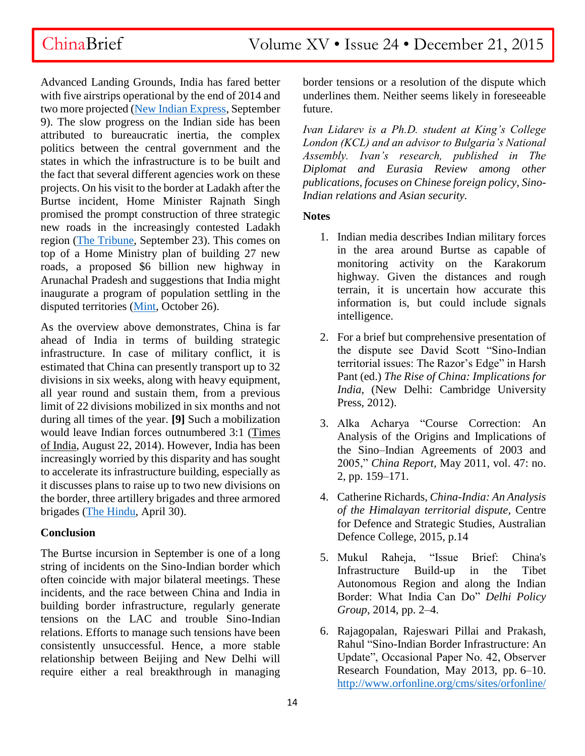Advanced Landing Grounds, India has fared better with five airstrips operational by the end of 2014 and two more projected [\(New Indian Express,](http://www.newindianexpress.com/nation/5-Air-Strips-to-Come-up-on-China-Border-Next-Month/2015/09/09/article3018212.ece) September 9). The slow progress on the Indian side has been attributed to bureaucratic inertia, the complex politics between the central government and the states in which the infrastructure is to be built and the fact that several different agencies work on these projects. On his visit to the border at Ladakh after the Burtse incident, Home Minister Rajnath Singh promised the prompt construction of three strategic new roads in the increasingly contested Ladakh region [\(The Tribune,](http://www.tribuneindia.com/news/jammu-kashmir/3-key-roads-in-ladakh-to-be-constructed-soon-rajnath/136848.html) September 23). This comes on top of a Home Ministry plan of building 27 new roads, a proposed \$6 billion new highway in Arunachal Pradesh and suggestions that India might inaugurate a program of population settling in the disputed territories [\(Mint,](http://www.livemint.com/Politics/7ixj5TXeEPfXAXtUA64V3H/Govt-plans-to-spend-billions-to-populate-remote-area-claimed.html) October 26).

As the overview above demonstrates, China is far ahead of India in terms of building strategic infrastructure. In case of military conflict, it is estimated that China can presently transport up to 32 divisions in six weeks, along with heavy equipment, all year round and sustain them, from a previous limit of 22 divisions mobilized in six months and not during all times of the year. **[9]** Such a mobilization would leave Indian forces outnumbered 3:1 (Times of India, August 22, 2014). However, India has been increasingly worried by this disparity and has sought to accelerate its infrastructure building, especially as it discusses plans to raise up to two new divisions on the border, three artillery brigades and three armored brigades [\(The Hindu,](http://www.thehindu.com/opinion/op-ed/in-defence-time-for-tough-decisions/article7155057.ece) April 30).

### **Conclusion**

The Burtse incursion in September is one of a long string of incidents on the Sino-Indian border which often coincide with major bilateral meetings. These incidents, and the race between China and India in building border infrastructure, regularly generate tensions on the LAC and trouble Sino-Indian relations. Efforts to manage such tensions have been consistently unsuccessful. Hence, a more stable relationship between Beijing and New Delhi will require either a real breakthrough in managing

border tensions or a resolution of the dispute which underlines them. Neither seems likely in foreseeable future.

*Ivan Lidarev is a Ph.D. student at King's College London (KCL) and an advisor to Bulgaria's National Assembly. Ivan's research, published in The Diplomat and Eurasia Review among other publications, focuses on Chinese foreign policy, Sino-Indian relations and Asian security.* 

### **Notes**

- 1. Indian media describes Indian military forces in the area around Burtse as capable of monitoring activity on the Karakorum highway. Given the distances and rough terrain, it is uncertain how accurate this information is, but could include signals intelligence.
- 2. For a brief but comprehensive presentation of the dispute see David Scott "Sino-Indian territorial issues: The Razor's Edge" in Harsh Pant (ed.) *The Rise of China: Implications for India*, (New Delhi: Cambridge University Press, 2012).
- 3. Alka Acharya "Course Correction: An Analysis of the Origins and Implications of the Sino–Indian Agreements of 2003 and 2005," *China Report,* May 2011, vol. 47: no. 2, pp. 159–171.
- 4. Catherine Richards, *China-India: An Analysis of the Himalayan territorial dispute*, Centre for Defence and Strategic Studies, Australian Defence College, 2015, p.14
- 5. Mukul Raheja, "Issue Brief: China's Infrastructure Build-up in the Tibet Autonomous Region and along the Indian Border: What India Can Do" *Delhi Policy Group*, 2014, pp. 2–4.
- 6. Rajagopalan, Rajeswari Pillai and Prakash, Rahul "Sino-Indian Border Infrastructure: An Update", Occasional Paper No. 42, Observer Research Foundation, May 2013, pp. 6–10. [http://www.orfonline.org/cms/sites/orfonline/](http://www.orfonline.org/cms/sites/orfonline/modules/occasionalpaper/attachments/Occasional42_1369136836914.pdf)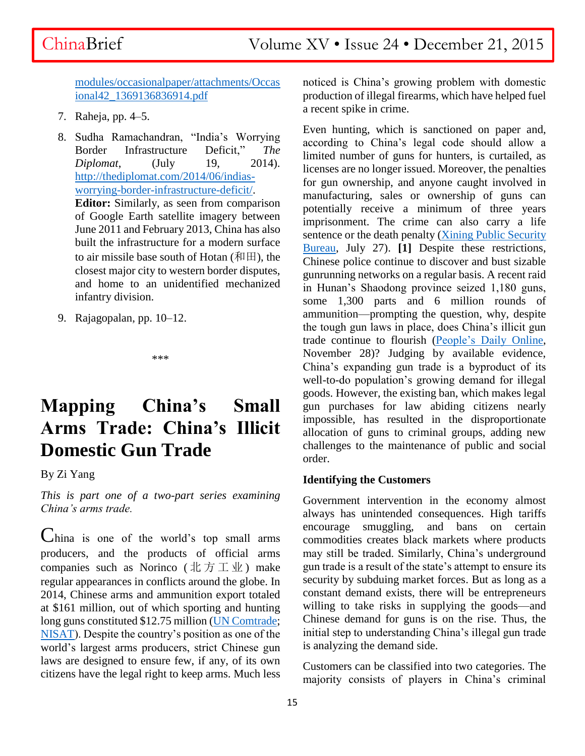[modules/occasionalpaper/attachments/Occas](http://www.orfonline.org/cms/sites/orfonline/modules/occasionalpaper/attachments/Occasional42_1369136836914.pdf) [ional42\\_1369136836914.pdf](http://www.orfonline.org/cms/sites/orfonline/modules/occasionalpaper/attachments/Occasional42_1369136836914.pdf)

- 7. Raheja, pp. 4–5.
- 8. Sudha Ramachandran, "India's Worrying Border Infrastructure Deficit," *The Diplomat*, (July 19, 2014). [http://thediplomat.com/2014/06/indias](http://thediplomat.com/2014/06/indias-worrying-border-infrastructure-deficit/)[worrying-border-infrastructure-deficit/.](http://thediplomat.com/2014/06/indias-worrying-border-infrastructure-deficit/)

**Editor:** Similarly, as seen from comparison of Google Earth satellite imagery between June 2011 and February 2013, China has also built the infrastructure for a modern surface to air missile base south of Hotan  $(\text{min}, \text{the})$ closest major city to western border disputes, and home to an unidentified mechanized infantry division.

9. Rajagopalan, pp. 10–12.

\*\*\*

## **Mapping China's Small Arms Trade: China's Illicit Domestic Gun Trade**

By Zi Yang

*This is part one of a two-part series examining China's arms trade.*

China is one of the world's top small arms producers, and the products of official arms companies such as Norinco (北方工业) make regular appearances in conflicts around the globe. In 2014, Chinese arms and ammunition export totaled at \$161 million, out of which sporting and hunting long guns constituted \$12.75 million [\(UN Comtrade;](http://comtrade.un.org/db/dqBasicQueryResults.aspx?px=HS&cc=93&r=156&p=0&rg=2&y=2014&so=8) [NISAT\)](http://nisat.prio.org/Trade-Database/Researchers-Database/). Despite the country's position as one of the world's largest arms producers, strict Chinese gun laws are designed to ensure few, if any, of its own citizens have the legal right to keep arms. Much less

noticed is China's growing problem with domestic production of illegal firearms, which have helped fuel a recent spike in crime.

Even hunting, which is sanctioned on paper and, according to China's legal code should allow a limited number of guns for hunters, is curtailed, as licenses are no longer issued. Moreover, the penalties for gun ownership, and anyone caught involved in manufacturing, sales or ownership of guns can potentially receive a minimum of three years imprisonment. The crime can also carry a life sentence or the death penalty [\(Xining Public Security](http://www.xnsgaj.com/hzxj/index.aspx?lanmuid=185&sublanmuid=1494&id=22070)  [Bureau,](http://www.xnsgaj.com/hzxj/index.aspx?lanmuid=185&sublanmuid=1494&id=22070) July 27). **[1]** Despite these restrictions, Chinese police continue to discover and bust sizable gunrunning networks on a regular basis. A recent raid in Hunan's Shaodong province seized 1,180 guns, some 1,300 parts and 6 million rounds of ammunition—prompting the question, why, despite the tough gun laws in place, does China's illicit gun trade continue to flourish [\(People's Daily Online,](http://legal.people.com.cn/n/2015/1128/c42510-27867476.html) November 28)? Judging by available evidence, China's expanding gun trade is a byproduct of its well-to-do population's growing demand for illegal goods. However, the existing ban, which makes legal gun purchases for law abiding citizens nearly impossible, has resulted in the disproportionate allocation of guns to criminal groups, adding new challenges to the maintenance of public and social order.

### **Identifying the Customers**

Government intervention in the economy almost always has unintended consequences. High tariffs encourage smuggling, and bans on certain commodities creates black markets where products may still be traded. Similarly, China's underground gun trade is a result of the state's attempt to ensure its security by subduing market forces. But as long as a constant demand exists, there will be entrepreneurs willing to take risks in supplying the goods—and Chinese demand for guns is on the rise. Thus, the initial step to understanding China's illegal gun trade is analyzing the demand side.

Customers can be classified into two categories. The majority consists of players in China's criminal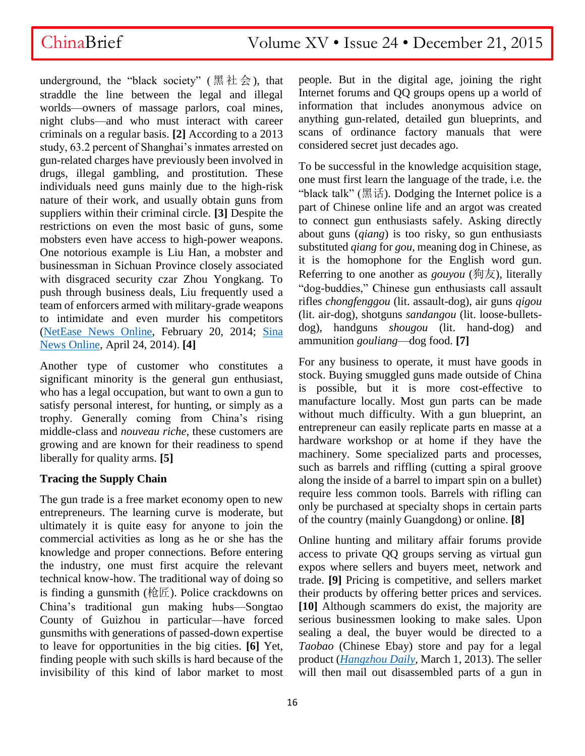## ChinaBrief Volume XV • Issue 24 • December 21, 2015

underground, the "black society" (黑社会), that straddle the line between the legal and illegal worlds—owners of massage parlors, coal mines, night clubs—and who must interact with career criminals on a regular basis. **[2]** According to a 2013 study, 63.2 percent of Shanghai's inmates arrested on gun-related charges have previously been involved in drugs, illegal gambling, and prostitution. These individuals need guns mainly due to the high-risk nature of their work, and usually obtain guns from suppliers within their criminal circle. **[3]** Despite the restrictions on even the most basic of guns, some mobsters even have access to high-power weapons. One notorious example is Liu Han, a mobster and businessman in Sichuan Province closely associated with disgraced security czar Zhou Yongkang. To push through business deals, Liu frequently used a team of enforcers armed with military-grade weapons to intimidate and even murder his competitors [\(NetEase News Online,](http://news.163.com/photoview/591M0001/43107.html#p=9LHGD45L591M0001) February 20, 2014; [Sina](http://news.sina.com.cn/c/sd/2014-04-24/104530003042.shtml)  [News Online,](http://news.sina.com.cn/c/sd/2014-04-24/104530003042.shtml) April 24, 2014). **[4]**

Another type of customer who constitutes a significant minority is the general gun enthusiast, who has a legal occupation, but want to own a gun to satisfy personal interest, for hunting, or simply as a trophy. Generally coming from China's rising middle-class and *nouveau riche*, these customers are growing and are known for their readiness to spend liberally for quality arms. **[5]**

### **Tracing the Supply Chain**

The gun trade is a free market economy open to new entrepreneurs. The learning curve is moderate, but ultimately it is quite easy for anyone to join the commercial activities as long as he or she has the knowledge and proper connections. Before entering the industry, one must first acquire the relevant technical know-how. The traditional way of doing so is finding a gunsmith (枪匠). Police crackdowns on China's traditional gun making hubs—Songtao County of Guizhou in particular—have forced gunsmiths with generations of passed-down expertise to leave for opportunities in the big cities. **[6]** Yet, finding people with such skills is hard because of the invisibility of this kind of labor market to most

people. But in the digital age, joining the right Internet forums and QQ groups opens up a world of information that includes anonymous advice on anything gun-related, detailed gun blueprints, and scans of ordinance factory manuals that were considered secret just decades ago.

To be successful in the knowledge acquisition stage, one must first learn the language of the trade, i.e. the "black talk" ( $\mathbb{R}$  if if). Dodging the Internet police is a part of Chinese online life and an argot was created to connect gun enthusiasts safely. Asking directly about guns (*qiang*) is too risky, so gun enthusiasts substituted *qiang* for *gou*, meaning dog in Chinese, as it is the homophone for the English word gun. Referring to one another as *gouyou* (狗友), literally "dog-buddies," Chinese gun enthusiasts call assault rifles *chongfenggou* (lit. assault-dog), air guns *qigou* (lit. air-dog), shotguns *sandangou* (lit. loose-bulletsdog), handguns *shougou* (lit. hand-dog) and ammunition *gouliang*—dog food. **[7]**

For any business to operate, it must have goods in stock. Buying smuggled guns made outside of China is possible, but it is more cost-effective to manufacture locally. Most gun parts can be made without much difficulty. With a gun blueprint, an entrepreneur can easily replicate parts en masse at a hardware workshop or at home if they have the machinery. Some specialized parts and processes, such as barrels and riffling (cutting a spiral groove along the inside of a barrel to impart spin on a bullet) require less common tools. Barrels with rifling can only be purchased at specialty shops in certain parts of the country (mainly Guangdong) or online. **[8]**

Online hunting and military affair forums provide access to private QQ groups serving as virtual gun expos where sellers and buyers meet, network and trade. **[9]** Pricing is competitive, and sellers market their products by offering better prices and services. **[10]** Although scammers do exist, the majority are serious businessmen looking to make sales. Upon sealing a deal, the buyer would be directed to a *Taobao* (Chinese Ebay) store and pay for a legal product (*[Hangzhou Daily](http://hzdaily.hangzhou.com.cn/dskb/html/2013-03/01/content_1444051.htm)*, March 1, 2013). The seller will then mail out disassembled parts of a gun in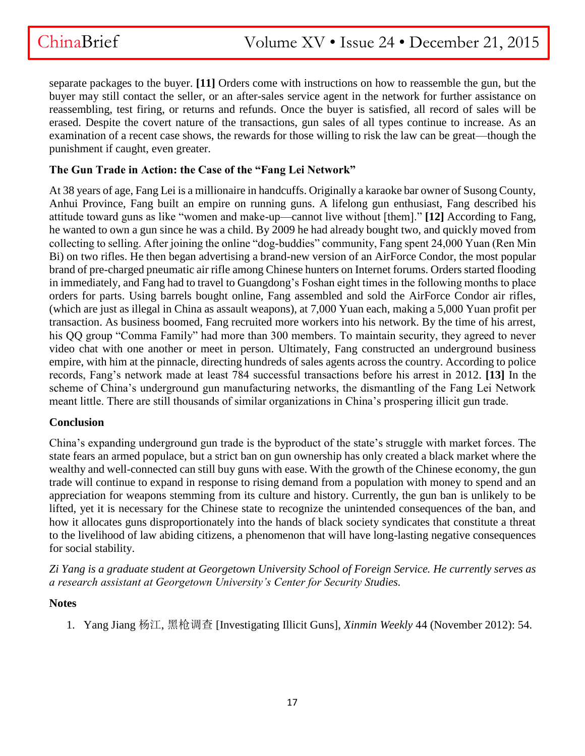separate packages to the buyer. **[11]** Orders come with instructions on how to reassemble the gun, but the buyer may still contact the seller, or an after-sales service agent in the network for further assistance on reassembling, test firing, or returns and refunds. Once the buyer is satisfied, all record of sales will be erased. Despite the covert nature of the transactions, gun sales of all types continue to increase. As an examination of a recent case shows, the rewards for those willing to risk the law can be great—though the punishment if caught, even greater.

### **The Gun Trade in Action: the Case of the "Fang Lei Network"**

At 38 years of age, Fang Lei is a millionaire in handcuffs. Originally a karaoke bar owner of Susong County, Anhui Province, Fang built an empire on running guns. A lifelong gun enthusiast, Fang described his attitude toward guns as like "women and make-up—cannot live without [them]." **[12]** According to Fang, he wanted to own a gun since he was a child. By 2009 he had already bought two, and quickly moved from collecting to selling. After joining the online "dog-buddies" community, Fang spent 24,000 Yuan (Ren Min Bi) on two rifles. He then began advertising a brand-new version of an AirForce Condor, the most popular brand of pre-charged pneumatic air rifle among Chinese hunters on Internet forums. Orders started flooding in immediately, and Fang had to travel to Guangdong's Foshan eight times in the following months to place orders for parts. Using barrels bought online, Fang assembled and sold the AirForce Condor air rifles, (which are just as illegal in China as assault weapons), at 7,000 Yuan each, making a 5,000 Yuan profit per transaction. As business boomed, Fang recruited more workers into his network. By the time of his arrest, his QQ group "Comma Family" had more than 300 members. To maintain security, they agreed to never video chat with one another or meet in person. Ultimately, Fang constructed an underground business empire, with him at the pinnacle, directing hundreds of sales agents across the country. According to police records, Fang's network made at least 784 successful transactions before his arrest in 2012. **[13]** In the scheme of China's underground gun manufacturing networks, the dismantling of the Fang Lei Network meant little. There are still thousands of similar organizations in China's prospering illicit gun trade.

### **Conclusion**

China's expanding underground gun trade is the byproduct of the state's struggle with market forces. The state fears an armed populace, but a strict ban on gun ownership has only created a black market where the wealthy and well-connected can still buy guns with ease. With the growth of the Chinese economy, the gun trade will continue to expand in response to rising demand from a population with money to spend and an appreciation for weapons stemming from its culture and history. Currently, the gun ban is unlikely to be lifted, yet it is necessary for the Chinese state to recognize the unintended consequences of the ban, and how it allocates guns disproportionately into the hands of black society syndicates that constitute a threat to the livelihood of law abiding citizens, a phenomenon that will have long-lasting negative consequences for social stability.

*Zi Yang is a graduate student at Georgetown University School of Foreign Service. He currently serves as a research assistant at Georgetown University's Center for Security Studies.*

### **Notes**

1. Yang Jiang 杨江, 黑枪调查 [Investigating Illicit Guns], *Xinmin Weekly* 44 (November 2012): 54.